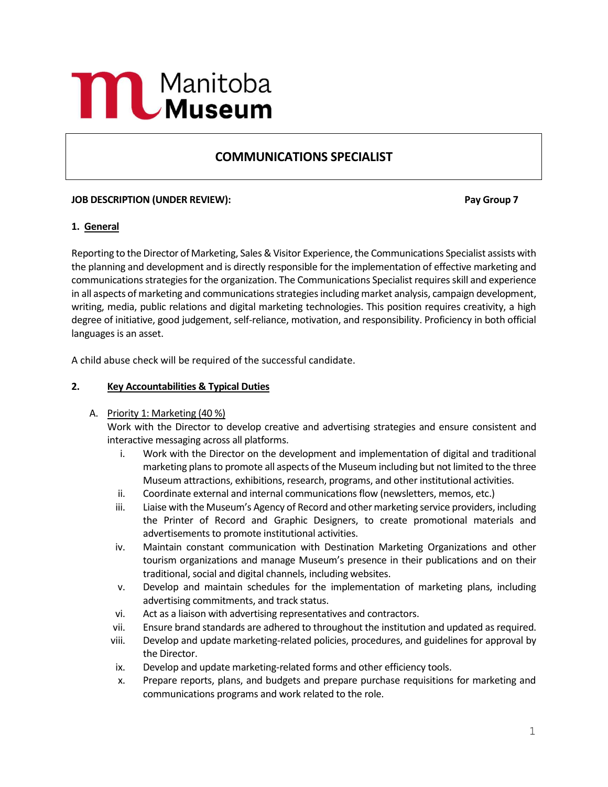# **MAND** Manitoba

# **COMMUNICATIONS SPECIALIST**

# **JOB DESCRIPTION (UNDER REVIEW): Pay Group 7**

# **1. General**

Reporting to the Director of Marketing, Sales & Visitor Experience, the Communications Specialist assists with the planning and development and is directly responsible for the implementation of effective marketing and communications strategies for the organization. The Communications Specialist requires skill and experience in all aspects of marketing and communications strategies including market analysis, campaign development, writing, media, public relations and digital marketing technologies. This position requires creativity, a high degree of initiative, good judgement, self-reliance, motivation, and responsibility. Proficiency in both official languages is an asset.

A child abuse check will be required of the successful candidate.

#### **2. Key Accountabilities & Typical Duties**

#### A. Priority 1: Marketing (40 %)

Work with the Director to develop creative and advertising strategies and ensure consistent and interactive messaging across all platforms.

- i. Work with the Director on the development and implementation of digital and traditional marketing plans to promote all aspects of the Museum including but not limited to the three Museum attractions, exhibitions, research, programs, and other institutional activities.
- ii. Coordinate external and internal communications flow (newsletters, memos, etc.)
- iii. Liaise with the Museum's Agency of Record and other marketing service providers, including the Printer of Record and Graphic Designers, to create promotional materials and advertisements to promote institutional activities.
- iv. Maintain constant communication with Destination Marketing Organizations and other tourism organizations and manage Museum's presence in their publications and on their traditional, social and digital channels, including websites.
- v. Develop and maintain schedules for the implementation of marketing plans, including advertising commitments, and track status.
- vi. Act as a liaison with advertising representatives and contractors.
- vii. Ensure brand standards are adhered to throughout the institution and updated as required.
- viii. Develop and update marketing-related policies, procedures, and guidelines for approval by the Director.
- ix. Develop and update marketing-related forms and other efficiency tools.
- x. Prepare reports, plans, and budgets and prepare purchase requisitions for marketing and communications programs and work related to the role.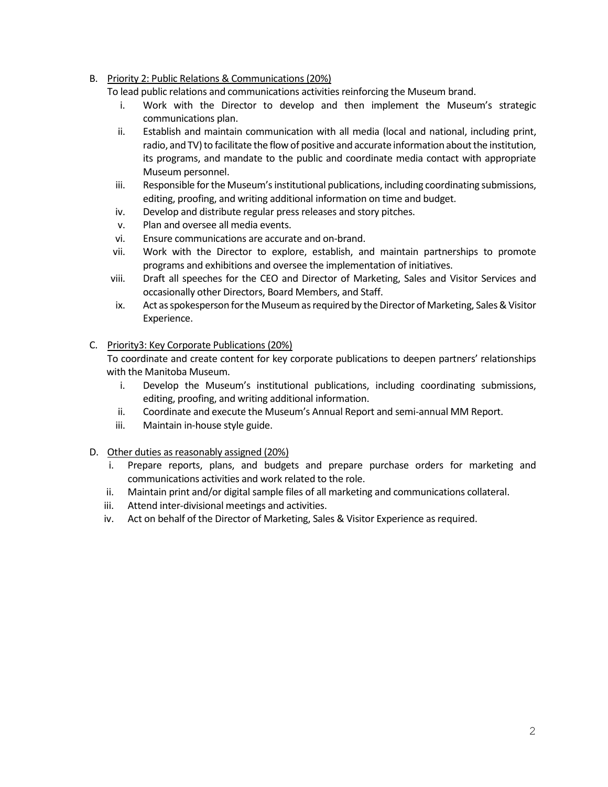# B. Priority 2: Public Relations & Communications (20%)

To lead public relations and communications activities reinforcing the Museum brand.

- i. Work with the Director to develop and then implement the Museum's strategic communications plan.
- ii. Establish and maintain communication with all media (local and national, including print, radio, and TV) to facilitate the flow of positive and accurate information about the institution, its programs, and mandate to the public and coordinate media contact with appropriate Museum personnel.
- iii. Responsible for the Museum's institutional publications, including coordinating submissions, editing, proofing, and writing additional information on time and budget.
- iv. Develop and distribute regular press releases and story pitches.
- v. Plan and oversee all media events.
- vi. Ensure communications are accurate and on-brand.
- vii. Work with the Director to explore, establish, and maintain partnerships to promote programs and exhibitions and oversee the implementation of initiatives.
- viii. Draft all speeches for the CEO and Director of Marketing, Sales and Visitor Services and occasionally other Directors, Board Members, and Staff.
- ix. Act as spokesperson for the Museum as required by the Director of Marketing, Sales & Visitor Experience.

# C. Priority3: Key Corporate Publications (20%)

To coordinate and create content for key corporate publications to deepen partners' relationships with the Manitoba Museum.

- i. Develop the Museum's institutional publications, including coordinating submissions, editing, proofing, and writing additional information.
- ii. Coordinate and execute the Museum's Annual Report and semi-annual MM Report.
- iii. Maintain in-house style guide.

#### D. Other duties as reasonably assigned (20%)

- i. Prepare reports, plans, and budgets and prepare purchase orders for marketing and communications activities and work related to the role.
- ii. Maintain print and/or digital sample files of all marketing and communications collateral.
- iii. Attend inter-divisional meetings and activities.
- iv. Act on behalf of the Director of Marketing, Sales & Visitor Experience as required.